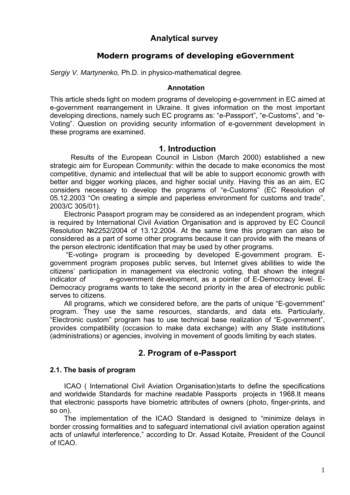# **Analytical survey**

# **Modern programs of developing eGovernment**

*Sergiy V. Martynenko,* Ph.D. in physico-mathematical degree*.*

### **Annotation**

This article sheds light on modern programs of developing e-government in EC aimed at e-government rearrangement in Ukraine. It gives information on the most important developing directions, namely such EC programs as: "e-Passport", "e-Customs", and "e-Voting". Question on providing security information of e-government development in these programs are examined.

## **1. Introduction**

Results of the European Council in Lisbon (March 2000) established a new strategic aim for European Community: within the decade to make economics the most competitive, dynamic and intellectual that will be able to support economic growth with better and bigger working places, and higher social unity. Having this as an aim, EC considers necessary to develop the programs of "e-Customs" (EC Resolution of 05.12.2003 "On creating a simple and paperless environment for customs and trade", 2003/C 305/01).

Electronic Passport program may be considered as an independent program, which is required by International Civil Aviation Organisation and is approved by EC Council Resolution №2252/2004 of 13.12.2004. At the same time this program can also be considered as a part of some other programs because it can provide with the means of the person electronic identification that may be used by other programs.

 "E-voting» program is proceeding by developed E-government program. Egovernment program proposes public serves, but Internet gives abilities to wide the citizens' participation in management via electronic voting, that shown the integral indicator of e-government development, as a pointer of E-Democracy level. E-Democracy programs wants to take the second priority in the area of electronic public serves to citizens.

All programs, which we considered before, are the parts of unique "E-government" program. They use the same resources, standards, and data ets. Particularly, "Electronic custom" program has to use technical base realization of "E-government", provides compatibility (occasion to make data exchange) with any State institutions (administrations) or agencies, involving in movement of goods limiting by each states.

# **2. Program of e-Passport**

## **2.1. The basis of program**

ICAO ( International Civil Aviation Organisation)starts to define the specifications and worldwide Standards for machine readable Passports projects in 1968.It means that electronic passports have biometric attributes of owners (photo, finger-prints, and so on).

The implementation of the ICAO Standard is designed to "minimize delays in border crossing formalities and to safeguard international civil aviation operation against acts of unlawful interference," according to Dr. Assad Kotaite, President of the Council of ICAO.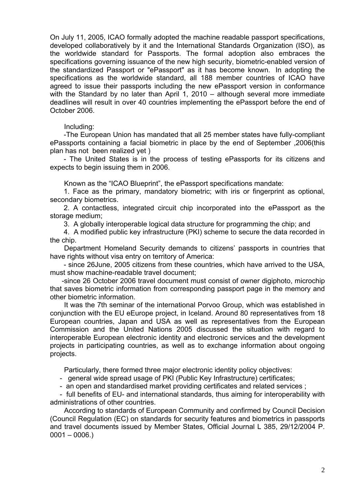On July 11, 2005, ICAO formally adopted the machine readable passport specifications, developed collaboratively by it and the International Standards Organization (ISO), as the worldwide standard for Passports. The formal adoption also embraces the specifications governing issuance of the new high security, biometric-enabled version of the standardized Passport or "ePassport" as it has become known. In adopting the specifications as the worldwide standard, all 188 member countries of ICAO have agreed to issue their passports including the new ePassport version in conformance with the Standard by no later than April 1, 2010 – although several more immediate deadlines will result in over 40 countries implementing the ePassport before the end of October 2006.

### Including:

 -The European Union has mandated that all 25 member states have fully-compliant ePassports containing a facial biometric in place by the end of September ,2006(this plan has not been realized yet )

 - The United States is in the process of testing ePassports for its citizens and expects to begin issuing them in 2006.

Known as the "ICAO Blueprint", the ePassport specifications mandate:

 1. Face as the primary, mandatory biometric; with iris or fingerprint as optional, secondary biometrics.

 2. A contactless, integrated circuit chip incorporated into the ePassport as the storage medium;

3. A globally interoperable logical data structure for programming the chip; and

 4. A modified public key infrastructure (PKI) scheme to secure the data recorded in the chip.

Department Homeland Security demands to citizens' passports in countries that have rights without visa entry on territory of America:

 - since 26June, 2005 citizens from these countries, which have arrived to the USA, must show machine-readable travel document;

 -since 26 October 2006 travel document must consist of owner digiphoto, microchip that saves biometric information from corresponding passport page in the memory and other biometric information.

It was the 7th seminar of the international Porvoo Group, which was established in conjunction with the EU eEurope project, in Iceland. Around 80 representatives from 18 European countries, Japan and USA as well as representatives from the European Commission and the United Nations 2005 discussed the situation with regard to interoperable European electronic identity and electronic services and the development projects in participating countries, as well as to exchange information about ongoing projects.

Particularly, there formed three major electronic identity policy objectives:

- general wide spread usage of PKI (Public Key Infrastructure) certificates;

- an open and standardised market providing certificates and related services ;

 - full benefits of EU- and international standards, thus aiming for interoperability with administrations of other countries.

According to standards of European Community and confirmed by Council Decision (Council Regulation (EC) on standards for security features and biometrics in passports and travel documents issued by Member States, Official Journal L 385, 29/12/2004 P.  $0001 - 0006.$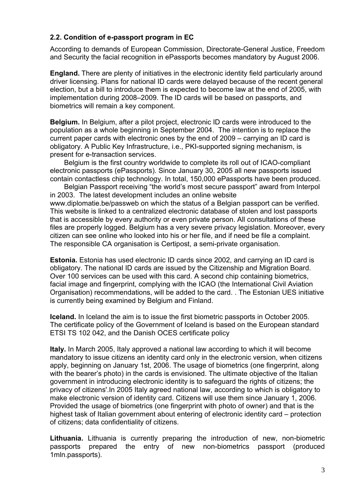## **2.2. Condition of e-passport program in EC**

According to demands of European Commission, Directorate-General Justice, Freedom and Security the facial recognition in ePassports becomes mandatory by August 2006.

**England.** There are plenty of initiatives in the electronic identity field particularly around driver licensing. Plans for national ID cards were delayed because of the recent general election, but a bill to introduce them is expected to become law at the end of 2005, with implementation during 2008–2009. The ID cards will be based on passports, and biometrics will remain a key component.

**Belgium.** In Belgium, after a pilot project, electronic ID cards were introduced to the population as a whole beginning in September 2004. The intention is to replace the current paper cards with electronic ones by the end of 2009 – carrying an ID card is obligatory. A Public Key Infrastructure, i.e., PKI-supported signing mechanism, is present for e-transaction services.

Belgium is the first country worldwide to complete its roll out of ICAO-compliant electronic passports (ePassports). Since January 30, 2005 all new passports issued contain contactless chip technology. In total, 150,000 ePassports have been produced.

Belgian Passport receiving "the world's most secure passport" award from Interpol in 2003. The latest development includes an online website www.diplomatie.be/passweb on which the status of a Belgian passport can be verified. This website is linked to a centralized electronic database of stolen and lost passports that is accessible by every authority or even private person. All consultations of these files are properly logged. Belgium has a very severe privacy legislation. Moreover, every citizen can see online who looked into his or her file, and if need be file a complaint. The responsible CA organisation is Certipost, a semi-private organisation.

**Estonia.** Estonia has used electronic ID cards since 2002, and carrying an ID card is obligatory. The national ID cards are issued by the Citizenship and Migration Board. Over 100 services can be used with this card. A second chip containing biometrics, facial image and fingerprint, complying with the ICAO (the International Civil Aviation Organisation) recommendations, will be added to the card. . The Estonian UES initiative is currently being examined by Belgium and Finland.

**Iceland.** In Iceland the aim is to issue the first biometric passports in October 2005. The certificate policy of the Government of Iceland is based on the European standard ETSI TS 102 042, and the Danish OCES certificate policy

**Italy.** In March 2005, Italy approved a national law according to which it will become mandatory to issue citizens an identity card only in the electronic version, when citizens apply, beginning on January 1st, 2006. The usage of biometrics (one fingerprint, along with the bearer's photo) in the cards is envisioned. The ultimate objective of the Italian government in introducing electronic identity is to safeguard the rights of citizens; the privacy of citizens'.In 2005 Italy agreed national law, according to which is obligatory to make electronic version of identity card. Citizens will use them since January 1, 2006. Provided the usage of biometrics (one fingerprint with photo of owner) and that is the highest task of Italian government about entering of electronic identity card – protection of citizens; data confidentiality of citizens.

**Lithuania.** Lithuania is currently preparing the introduction of new, non-biometric passports prepared the entry of new non-biometrics passport (produced 1mln.passports).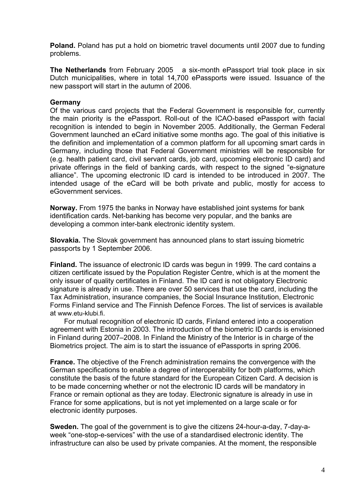**Poland.** Poland has put a hold on biometric travel documents until 2007 due to funding problems.

**The Netherlands** from February 2005 a six-month ePassport trial took place in six Dutch municipalities, where in total 14,700 ePassports were issued. Issuance of the new passport will start in the autumn of 2006.

## **Germany**

Of the various card projects that the Federal Government is responsible for, currently the main priority is the ePassport. Roll-out of the ICAO-based ePassport with facial recognition is intended to begin in November 2005. Additionally, the German Federal Government launched an eCard initiative some months ago. The goal of this initiative is the definition and implementation of a common platform for all upcoming smart cards in Germany, including those that Federal Government ministries will be responsible for (e.g. health patient card, civil servant cards, job card, upcoming electronic ID card) and private offerings in the field of banking cards, with respect to the signed "e-signature alliance". The upcoming electronic ID card is intended to be introduced in 2007. The intended usage of the eCard will be both private and public, mostly for access to eGovernment services.

**Norway.** From 1975 the banks in Norway have established joint systems for bank identification cards. Net-banking has become very popular, and the banks are developing a common inter-bank electronic identity system.

**Slovakia.** The Slovak government has announced plans to start issuing biometric passports by 1 September 2006.

**Finland.** The issuance of electronic ID cards was begun in 1999. The card contains a citizen certificate issued by the Population Register Centre, which is at the moment the only issuer of quality certificates in Finland. The ID card is not obligatory Electronic signature is already in use. There are over 50 services that use the card, including the Tax Administration, insurance companies, the Social Insurance Institution, Electronic Forms Finland service and The Finnish Defence Forces. The list of services is available at www.etu-klubi.fi.

For mutual recognition of electronic ID cards, Finland entered into a cooperation agreement with Estonia in 2003. The introduction of the biometric ID cards is envisioned in Finland during 2007–2008. In Finland the Ministry of the Interior is in charge of the Biometrics project. The aim is to start the issuance of ePassports in spring 2006.

**France.** The objective of the French administration remains the convergence with the German specifications to enable a degree of interoperability for both platforms, which constitute the basis of the future standard for the European Citizen Card. A decision is to be made concerning whether or not the electronic ID cards will be mandatory in France or remain optional as they are today. Electronic signature is already in use in France for some applications, but is not yet implemented on a large scale or for electronic identity purposes.

**Sweden.** The goal of the government is to give the citizens 24-hour-a-day, 7-day-aweek "one-stop-e-services" with the use of a standardised electronic identity. The infrastructure can also be used by private companies. At the moment, the responsible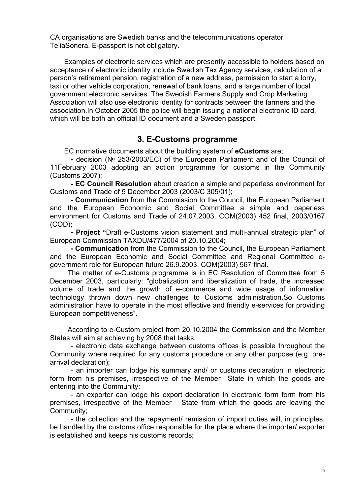CA organisations are Swedish banks and the telecommunications operator TeliaSonera. E-passport is not obligatory.

Examples of electronic services which are presently accessible to holders based on acceptance of electronic identity include Swedish Tax Agency services, calculation of a person's retirement pension, registration of a new address, permission to start a lorry, taxi or other vehicle corporation, renewal of bank loans, and a large number of local government electronic services. The Swedish Farmers Supply and Crop Marketing Association will also use electronic identity for contracts between the farmers and the association.In October 2005 the police will begin issuing a national electronic ID card, which will be both an official ID document and a Sweden passport.

## **3. E-Customs programme**

ЕС normative documents about the building system of **eCustoms** are;

**-** decision (№ 253/2003/EC) of the European Parliament and of the Council of 11February 2003 adopting an action programme for customs in the Community (Customs 2007);

**- ЕС Council Resolution** about creation a simple and paperless environment for Customs and Trade of 5 December 2003 (2003/C 305/01);

**- Communication** from the Commission to the Council, the European Parliament and the European Economic and Social Committee a simple and paperless environment for Customs and Trade of 24.07.2003, COM(2003) 452 final, 2003/0167 (COD);

**- Project "**Draft e-Customs vision statement and multi-annual strategic plan" of European Commission TAXDU/477/2004 оf 20.10.2004;

**- Communication** from the Commission to the Council, the European Parliament and the European Economic and Social Committee and Regional Committee egovernment role for European future 26.9.2003, COM(2003) 567 final.

The matter of e-Customs programme is in ЕС Resolution of Committee from 5 December 2003, particularly: "globalization and liberalization of trade, the increased volume of trade and the growth of e-commerce and wide usage of information technology thrown down new challenges to Customs administration.So Customs administration have to operate in the most effective and friendly e-services for providing European competitiveness".

According to e-Custom project from 20.10.2004 the Commission and the Member States will aim at achieving by 2008 that tasks;

- electronic data exchange between customs offices is possible throughout the Community where required for any customs procedure or any other purpose (e.g. prearrival declaration);

- an importer can lodge his summary and/ or customs declaration in electronic form from his premises, irrespective of the Member State in which the goods are entering into the Community;

- an exporter can lodge his export declaration in electronic form form from his premises, irrespective of the Member State from which the goods are leaving the Community;

- the collection and the repayment/ remission of import duties will, in principles, be handled by the customs office responsible for the place where the importer/ exporter is established and keeps his customs records;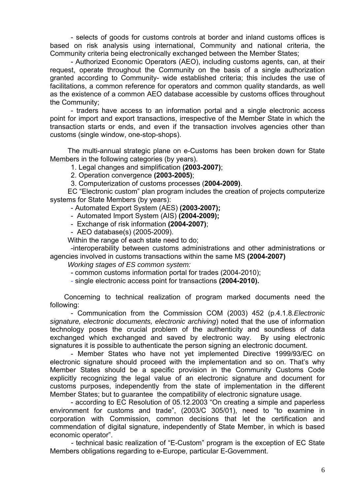- selects of goods for customs controls at border and inland customs offices is based on risk analysis using international, Community and national criteria, the Community criteria being electronically exchanged between the Member States;

- Authorized Economic Operators (AEO), including customs agents, can, at their request, operate throughout the Community on the basis of a single authorization granted according to Community- wide established criteria; this includes the use of facilitations, a common reference for operators and common quality standards, as well as the existence of a common AEO database accessible by customs offices throughout the Community;

- traders have access to an information portal and a single electronic access point for import and export transactions, irrespective of the Member State in which the transaction starts or ends, and even if the transaction involves agencies other than customs (single window, one-stop-shops).

The multi-annual strategic plane on e-Customs has been broken down for State Members in the following categories (by years).

1. Legal changes and simplification **(2003-2007)**;

2. Operation convergence **(2003-2005)**;

3. Computerization of customs processes (**2004-2009)**.

EC "Electronic custom" plan program includes the creation of projects computerize systems for State Members (by years):

- Automated Export System (AES) **(2003-2007);** 

- Automated Import System (AIS) **(2004-2009);** 

- Exchange of risk information **(2004-2007)**;
- AEO database(s) (2005-2009).

Within the range of each state need to do;

-interoperability between customs administrations and other administrations or agencies involved in customs transactions within the same MS **(2004-2007)** 

*Working stages of ES common system:* 

- common customs information portal for trades (2004-2010);

- single electronic access point for transactions **(2004-2010).**

Concerning to technical realization of program marked documents need the following:

- Communication from the Commission COM (2003) 452 (p.4.1.8*.Electronic signature, electronic documents, electronic archiving*) noted that the use of information technology poses the crucial problem of the authenticity and soundless of data exchanged which exchanged and saved by electronic way.By using electronic signatures it is possible to authenticate the person signing an electronic document.

- Member States who have not yet implemented Directive 1999/93/EC on electronic signature should proceed with the implementation and so on. That's why Member States should be a specific provision in the Community Customs Code explicitly recognizing the legal value of an electronic signature and document for customs purposes, independently from the state of implementation in the different Member States; but to guarantee the compatibility of electronic signature usage.

- according to EC Resolution of 05.12.2003 "On creating a simple and paperless environment for customs and trade", (2003/C 305/01), need to "to examine in corporation with Commission, common decisions that let the certification and commendation of digital signature, independently of State Member, in which is based economic operator".

- technical basic realization of "E-Custom" program is the exception of EC State Members obligations regarding to e-Europe, particular E-Government.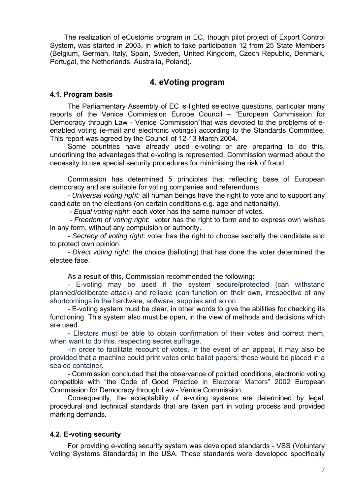The realization of eCustoms program in EC, though pilot project of Export Control System, was started in 2003, in which to take participation 12 from 25 State Members (Belgium, German, Italy, Spain, Sweden, United Kingdom, Czech Republic, Denmark, Portugal, the Netherlands, Australia, Poland).

# **4. eVoting program**

### **4.1. Program basis**

The Parliamentary Assembly of EC is lighted selective questions, particular many reports of the Venice Commission Europe Council – "European Commission for Democracy through Law - Venice Commission"that was devoted to the problems of eenabled voting (e-mail and electronic votings) according to the Standards Committee. This report was agreed by the Council of 12-13 March 2004.

Some countries have already used e-voting or are preparing to do this, underlining the advantages that e-voting is represented. Commission warmed about the necessity to use special security procedures for minimising the risk of fraud.

Commission has determined 5 principles that reflecting base of European democracy and are suitable for voting companies and referendums:

- *Universal voting right:* all human beings have the right to vote and to support any candidate on the elections (on certain conditions e.g. age and nationality).

- *Equal voting right:* each voter has the same number of votes.

 - *Freedom of voting right*: voter has the right to form and to express own wishes in any form, without any compulsion or authority.

- *Secrecy of voting right:* voter has the right to choose secretly the candidate and to protect own opinion.

- *Direct voting right:* the choice (balloting) that has done the voter determined the electee face.

As a result of this, Commission recommended the following:

- E-voting may be used if the system secure/protected (can withstand planned/deliberate attack) and reliable (can function on their own, irrespective of any shortcomings in the hardware, software, supplies and so on.

- E-voting system must be clear, in other words to give the abilities for checking its functioning. This system also must be open, in the view of methods and decisions which are used.

- Electors must be able to obtain confirmation of their votes and correct them, when want to do this, respecting secret suffrage.

-In order to facilitate recount of votes, in the event of an appeal, it may also be provided that a machine could print votes onto ballot papers; these would be placed in a sealed container.

- Commission concluded that the observance of pointed conditions, electronic voting compatible with "the Code of Good Practice in Electoral Matters" 2002 European Commission for Democracy through Law - Venice Commission.

Consequently, the acceptability of e-voting systems are determined by legal, procedural and technical standards that are taken part in voting process and provided marking demands.

## **4.2. E-voting security**

For providing e-voting security system was developed standards - VSS (Voluntary Voting Systems Standards) in the USA. These standards were developed specifically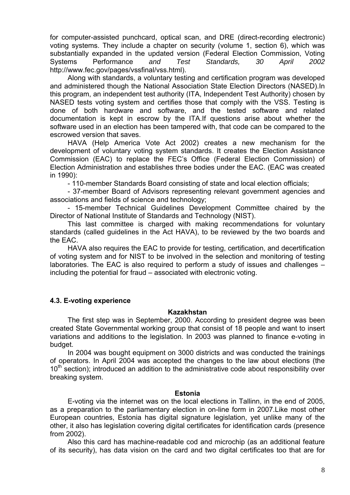for computer-assisted punchcard, optical scan, and DRE (direct-recording electronic) voting systems. They include a chapter on security (volume 1, section 6), which was substantially expanded in the updated version (Federal Election Commission, Voting Systems Performance *and Test Standards, 30 April 2002*  http://www.fec.gov/pages/vssfinal/vss.html).

Along with standards, a voluntary testing and certification program was developed and administered though the National Association State Election Directors (NASED).In this program, an independent test authority (ITA, Independent Test Authority) chosen by NASED tests voting system and certifies those that comply with the VSS. Testing is done of both hardware and software, and the tested software and related documentation is kept in escrow by the ITA.If questions arise about whether the software used in an election has been tampered with, that code can be compared to the escrowed version that saves.

HAVA (Help America Vote Act 2002) creates a new mechanism for the development of voluntary voting system standards. It creates the Election Assistance Commission (EAC) to replace the FEC's Office (Federal Election Commission) of Election Administration and establishes three bodies under the EAC. (EAC was created in 1990):

- 110-member Standards Board consisting of state and local election officials;

- 37-member Board of Advisors representing relevant government agencies and associations and fields of science and technology;

- 15-member Technical Guidelines Development Committee chaired by the Director of National Institute of Standards and Technology (NIST).

This last committee is charged with making recommendations for voluntary standards (called guidelines in the Act HAVA), to be reviewed by the two boards and the EAC.

HAVA also requires the EAC to provide for testing, certification, and decertification of voting system and for NIST to be involved in the selection and monitoring of testing laboratories. The EAC is also required to perform a study of issues and challenges – including the potential for fraud – associated with electronic voting.

## **4.3. E-voting experience**

### **Kazakhstan**

The first step was in September, 2000. According to president degree was been created State Governmental working group that consist of 18 people and want to insert variations and additions to the legislation. In 2003 was planned to finance e-voting in budget.

In 2004 was bought equipment on 3000 districts and was conducted the trainings of operators. In April 2004 was accepted the changes to the law about elections (the  $10<sup>th</sup>$  section); introduced an addition to the administrative code about responsibility over breaking system.

### **Estonia**

E-voting via the internet was on the local elections in Tallinn, in the end of 2005, as a preparation to the parliamentary election in on-line form in 2007.Like most other European countries, Estonia has digital signature legislation, yet unlike many of the other, it also has legislation covering digital certificates for identification cards (presence from 2002).

Also this card has machine-readable cod and microchip (as an additional feature of its security), has data vision on the card and two digital certificates too that are for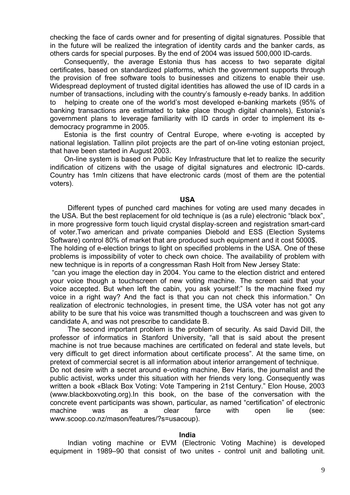checking the face of cards owner and for presenting of digital signatures. Possible that in the future will be realized the integration of identity cards and the banker cards, as others cards for special purposes. By the end of 2004 was issued 500,000 ID-cards.

Consequently, the average Estonia thus has access to two separate digital certificates, based on standardized platforms, which the government supports through the provision of free software tools to businesses and citizens to enable their use. Widespread deployment of trusted digital identities has allowed the use of ID cards in a number of transactions, including with the country's famously e-ready banks. In addition to helping to create one of the world's most developed e-banking markets (95% of banking transactions are estimated to take place though digital channels), Estonia's government plans to leverage familiarity with ID cards in order to implement its edemocracy programme in 2005.

Estonia is the first country of Central Europe, where e-voting is accepted by national legislation. Tallinn pilot projects are the part of on-line voting estonian project, that have been started in August 2003.

On-line system is based on Public Key Infrastructure that let to realize the security indification of citizens with the usage of digital signatures and electronic ID-cards. Country has 1mln citizens that have electronic cards (most of them are the potential voters).

#### **USA**

Different types of punched card machines for voting are used many decades in the USA. But the best replacement for old technique is (as a rule) electronic "black box", in more progressive form touch liquid crystal display-screen and registration smart-card of voter.Two american and private companies Diebold and ESS (Election Systems Software) control 80% of market that are produced such equipment and it cost 5000\$.

The holding of e-election brings to light on specified problems in the USA. One of these problems is impossibility of voter to check own choice. The availability of problem with new technique is in reports of a congressman Rash Holt from New Jersey State:

 "can you image the election day in 2004. You came to the election district and entered your voice though a touchscreen of new voting machine. The screen said that your voice accepted. But when left the cabin, you ask yourself:" Is the machine fixed my voice in a right way? And the fact is that you can not check this information." On realization of electronic technologies, in present time, the USA voter has not got any ability to be sure that his voice was transmitted though a touchscreen and was given to candidate A, and was not prescribe to candidate B.

The second important problem is the problem of security. As said David Dill, the professor of informatics in Stanford University, "all that is said about the present machine is not true because machines are certificated on federal and state levels, but very difficult to get direct information about certificate process". At the same time, on pretext of commercial secret is all information about interior arrangement of technique.

Do not desire with a secret around e-voting machine, Bev Haris, the journalist and the public activist, works under this situation with her friends very long. Consequently was written a book «Black Box Voting: Vote Tampering in 21st Century." Elon House, 2003 (www.blackboxvoting.org).In this book, on the base of the conversation with the concrete event participants was shown, particular, as named "certification" of electronic machine was as a clear farce with open lie (see: www.scoop.co.nz/mason/features/?s=usacoup).

#### **India**

Indian voting machine or EVM (Electronic Voting Machine) is developed equipment in 1989–90 that consist of two unites - control unit and balloting unit.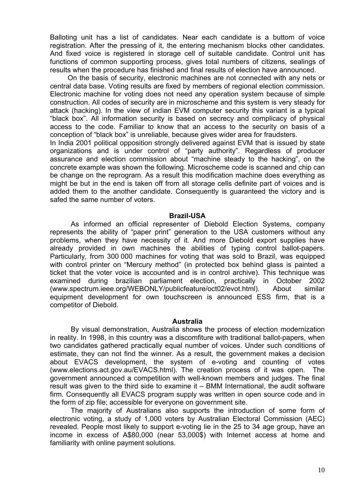Balloting unit has a list of candidates. Near each candidate is a buttom of voice registration. After the pressing of it, the entering mechanism blocks other candidates. And fixed voice is registered in storage cell of suitable candidate. Control unit has functions of common supporting process, gives total numbers of citizens, sealings of results when the procedure has finished and final results of election have announced.

On the basis of security, electronic machines are not connected with any nets or central data base. Voting results are fixed by members of regional election commission. Electronic machine for voting does not need any operation system because of simple construction. All codes of security are in microscheme and this system is very steady for attack (hacking). In the view of indian EVM computer security this variant is a typical "black box". All information security is based on secrecy and complicacy of physical access to the code. Familiar to know that an access to the security on basis of a conception of "black box" is unreliable, because gives wider area for fraudsters.

In India 2001 political opposition strongly delivered against EVM that is issued by state organizations and is under control of "party authority". Regardless of producer assurance and election commission about "machine steady to the hacking", on the concrete example was shown the following. Microscheme code is scanned and chip can be change on the reprogram. As a result this modification machine does everything as might be but in the end is taken off from all storage cells definite part of voices and is added them to the another candidate. Consequently is guaranteed the victory and is safed the same number of voters.

#### **Brazil-USA**

As informed an official representer of Diebold Election Systems, company represents the ability of "paper print" generation to the USA customers without any problems, when they have necessity of it. And more Diebold export supplies have already provided in own machines the abilities of typing control ballot-papers. Particularly, from 300 000 machines for voting that was sold to Brazil, was equipped with control printer on "Mercury method" (in protected box behind glass is painted a ticket that the voter voice is accounted and is in control archive). This technique was examined during brazilian parliament election, practically in October 2002 (www.spectrum.ieee.org/WEBONLY/publicfeature/oct02/evot.html). About similar equipment development for own touchscreen is announced ESS firm, that is a competitor of Diebold.

### **Australia**

By visual demonstration, Australia shows the process of election modernization in reality. In 1998, in this country was a discomfiture with traditional ballot-papers, when two candidates gathered practically equal number of voices. Under such conditions of estimate, they can not find the winner. As a result, the government makes a decision about EVACS development, the system of e-voting and counting of votes (www.elections.act.gov.au/EVACS.html). The creation process of it was open. The government announced a competition with well-known members and judges. The final result was given to the third side to examine it – BMM International, the audit software firm. Consequently all EVACS program supply was written in open source code and in the form of zip file; accessible for everyone on government site.

The majority of Australians also supports the introduction of some form of electronic voting, a study of 1,000 voters by Australian Electoral Commission (AEC) revealed. People most likely to support e-voting lie in the 25 to 34 age group, have an income in excess of A\$80,000 (near 53,000\$) with Internet access at home and familiarity with online payment solutions.